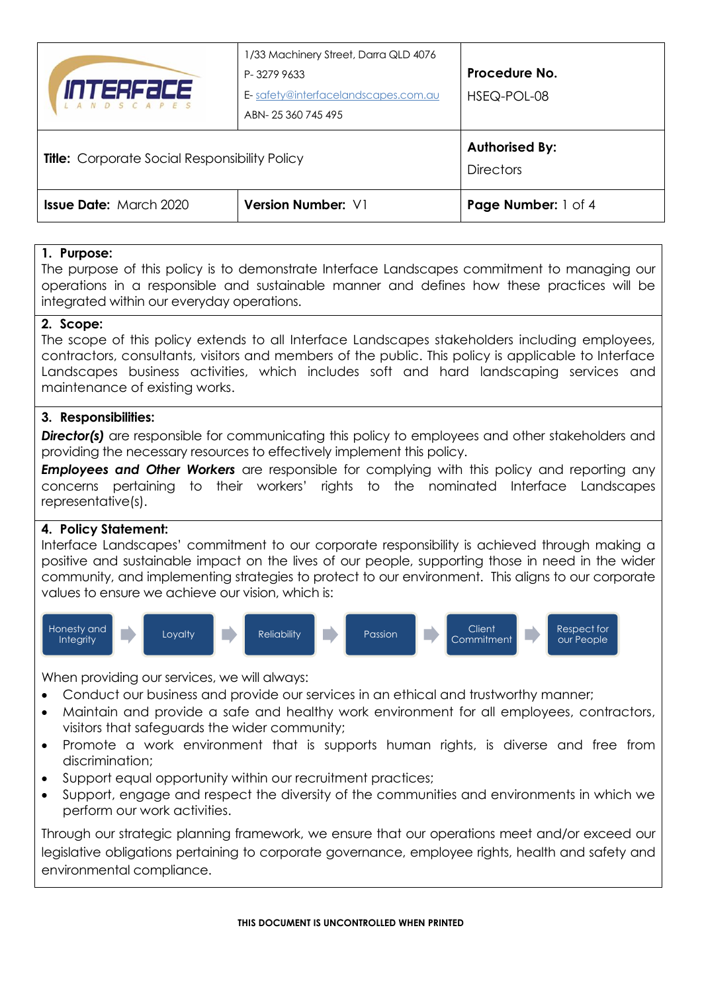| <i>INTERFECE</i><br><i>LANDSCAPES</i>                | 1/33 Machinery Street, Darra QLD 4076 |                       |
|------------------------------------------------------|---------------------------------------|-----------------------|
|                                                      | P-32799633                            | Procedure No.         |
|                                                      | E-safety@interfacelandscapes.com.au   | HSEQ-POL-08           |
|                                                      | ABN-25360745495                       |                       |
|                                                      |                                       |                       |
|                                                      |                                       | <b>Authorised By:</b> |
| <b>Title:</b> Corporate Social Responsibility Policy |                                       | <b>Directors</b>      |
| <b>Issue Date:</b> March 2020                        | <b>Version Number: V1</b>             | Page Number: 1 of 4   |

#### **1. Purpose:**

The purpose of this policy is to demonstrate Interface Landscapes commitment to managing our operations in a responsible and sustainable manner and defines how these practices will be integrated within our everyday operations.

#### **2. Scope:**

The scope of this policy extends to all Interface Landscapes stakeholders including employees, contractors, consultants, visitors and members of the public. This policy is applicable to Interface Landscapes business activities, which includes soft and hard landscaping services and maintenance of existing works.

#### **3. Responsibilities:**

**Director(s)** are responsible for communicating this policy to employees and other stakeholders and providing the necessary resources to effectively implement this policy.

**Employees and Other Workers** are responsible for complying with this policy and reporting any concerns pertaining to their workers' rights to the nominated Interface Landscapes representative(s).

#### **4. Policy Statement:**

Interface Landscapes' commitment to our corporate responsibility is achieved through making a positive and sustainable impact on the lives of our people, supporting those in need in the wider community, and implementing strategies to protect to our environment. This aligns to our corporate values to ensure we achieve our vision, which is:



When providing our services, we will always:

- Conduct our business and provide our services in an ethical and trustworthy manner;
- Maintain and provide a safe and healthy work environment for all employees, contractors, visitors that safeguards the wider community;
- Promote a work environment that is supports human rights, is diverse and free from discrimination;
- Support equal opportunity within our recruitment practices;
- Support, engage and respect the diversity of the communities and environments in which we perform our work activities.

Through our strategic planning framework, we ensure that our operations meet and/or exceed our legislative obligations pertaining to corporate governance, employee rights, health and safety and environmental compliance.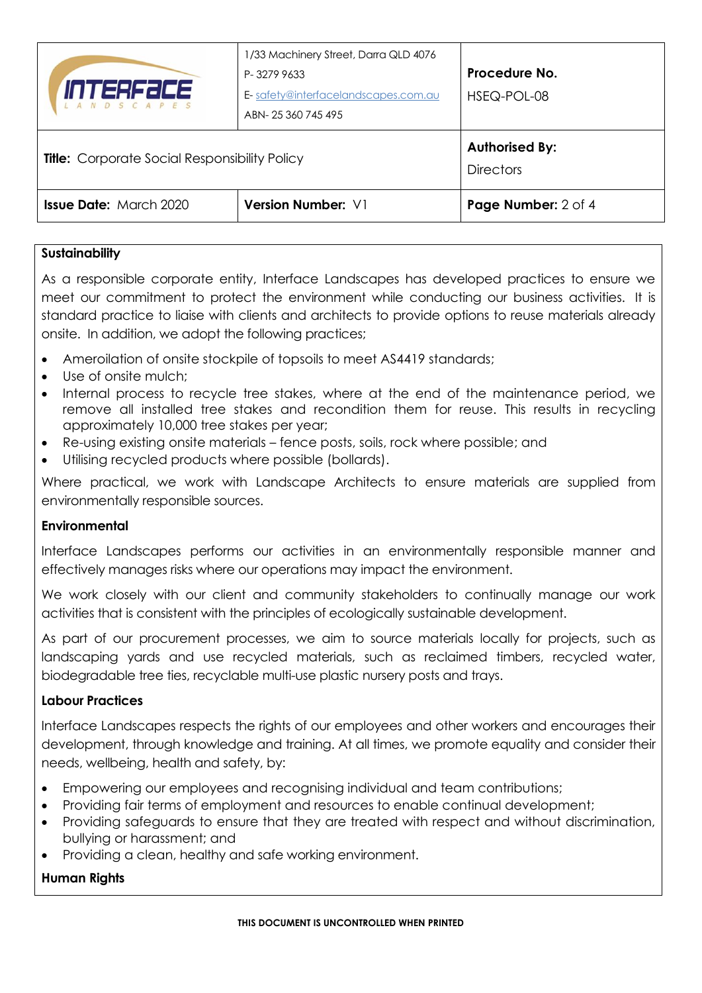| INTERFACE<br><i>LANDSCAPES</i>                       | 1/33 Machinery Street, Darra QLD 4076<br>P-32799633<br>E-safety@interfacelandscapes.com.au<br>ABN-25 360 745 495 | Procedure No.<br>HSEQ-POL-08              |
|------------------------------------------------------|------------------------------------------------------------------------------------------------------------------|-------------------------------------------|
| <b>Title:</b> Corporate Social Responsibility Policy |                                                                                                                  | <b>Authorised By:</b><br><b>Directors</b> |
| <b>Issue Date: March 2020</b>                        | <b>Version Number: V1</b>                                                                                        | Page Number: 2 of 4                       |

# **Sustainability**

As a responsible corporate entity, Interface Landscapes has developed practices to ensure we meet our commitment to protect the environment while conducting our business activities. It is standard practice to liaise with clients and architects to provide options to reuse materials already onsite. In addition, we adopt the following practices;

- Ameroilation of onsite stockpile of topsoils to meet AS4419 standards;
- Use of onsite mulch:
- Internal process to recycle tree stakes, where at the end of the maintenance period, we remove all installed tree stakes and recondition them for reuse. This results in recycling approximately 10,000 tree stakes per year;
- Re-using existing onsite materials fence posts, soils, rock where possible; and
- Utilising recycled products where possible (bollards).

Where practical, we work with Landscape Architects to ensure materials are supplied from environmentally responsible sources.

# **Environmental**

Interface Landscapes performs our activities in an environmentally responsible manner and effectively manages risks where our operations may impact the environment.

We work closely with our client and community stakeholders to continually manage our work activities that is consistent with the principles of ecologically sustainable development.

As part of our procurement processes, we aim to source materials locally for projects, such as landscaping yards and use recycled materials, such as reclaimed timbers, recycled water, biodegradable tree ties, recyclable multi-use plastic nursery posts and trays.

# **Labour Practices**

Interface Landscapes respects the rights of our employees and other workers and encourages their development, through knowledge and training. At all times, we promote equality and consider their needs, wellbeing, health and safety, by:

- Empowering our employees and recognising individual and team contributions;
- Providing fair terms of employment and resources to enable continual development;
- Providing safeguards to ensure that they are treated with respect and without discrimination, bullying or harassment; and
- Providing a clean, healthy and safe working environment.

# **Human Rights**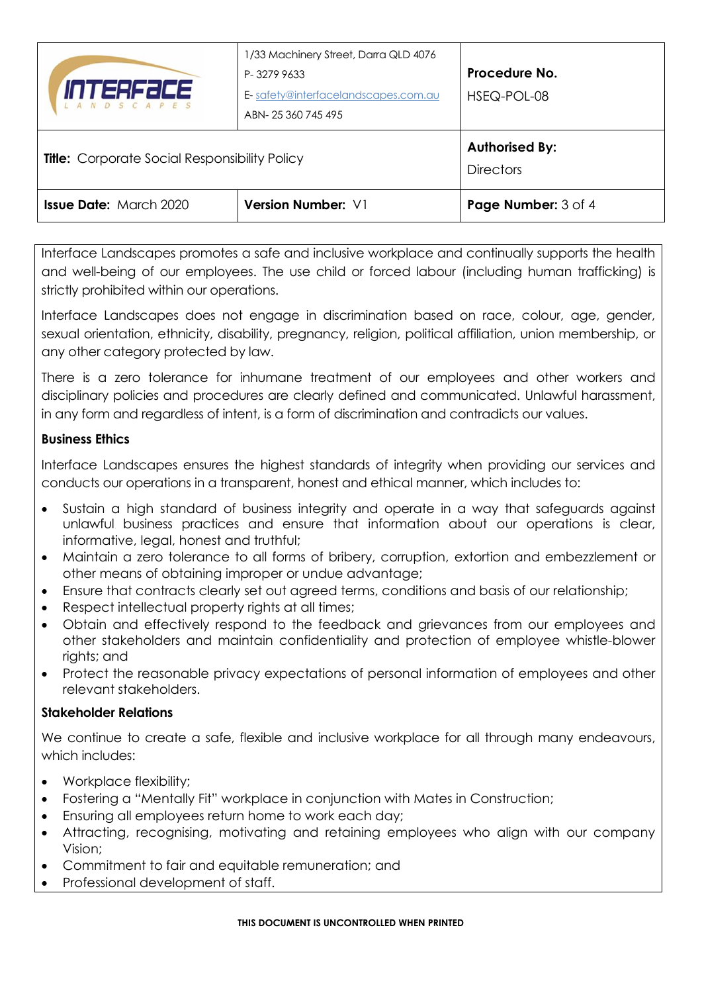| <i>INTERFACE</i><br>LANDSCAPES                       | 1/33 Machinery Street, Darra QLD 4076<br>P-32799633<br>E-safety@interfacelandscapes.com.au<br>ABN-25360745495 | Procedure No.<br>HSEQ-POL-08              |
|------------------------------------------------------|---------------------------------------------------------------------------------------------------------------|-------------------------------------------|
| <b>Title:</b> Corporate Social Responsibility Policy |                                                                                                               | <b>Authorised By:</b><br><b>Directors</b> |
| <b>Issue Date: March 2020</b>                        | Version Number: V1                                                                                            | Page Number: 3 of 4                       |

Interface Landscapes promotes a safe and inclusive workplace and continually supports the health and well-being of our employees. The use child or forced labour (including human trafficking) is strictly prohibited within our operations.

Interface Landscapes does not engage in discrimination based on race, colour, age, gender, sexual orientation, ethnicity, disability, pregnancy, religion, political affiliation, union membership, or any other category protected by law.

There is a zero tolerance for inhumane treatment of our employees and other workers and disciplinary policies and procedures are clearly defined and communicated. Unlawful harassment, in any form and regardless of intent, is a form of discrimination and contradicts our values.

#### **Business Ethics**

Interface Landscapes ensures the highest standards of integrity when providing our services and conducts our operations in a transparent, honest and ethical manner, which includes to:

- Sustain a high standard of business integrity and operate in a way that safeguards against unlawful business practices and ensure that information about our operations is clear, informative, legal, honest and truthful;
- Maintain a zero tolerance to all forms of bribery, corruption, extortion and embezzlement or other means of obtaining improper or undue advantage;
- Ensure that contracts clearly set out agreed terms, conditions and basis of our relationship;
- Respect intellectual property rights at all times;
- Obtain and effectively respond to the feedback and grievances from our employees and other stakeholders and maintain confidentiality and protection of employee whistle-blower rights; and
- Protect the reasonable privacy expectations of personal information of employees and other relevant stakeholders.

# **Stakeholder Relations**

We continue to create a safe, flexible and inclusive workplace for all through many endeavours, which includes:

- Workplace flexibility;
- Fostering a "Mentally Fit" workplace in conjunction with Mates in Construction;
- Ensuring all employees return home to work each day;
- Attracting, recognising, motivating and retaining employees who align with our company Vision;
- Commitment to fair and equitable remuneration; and
- Professional development of staff.